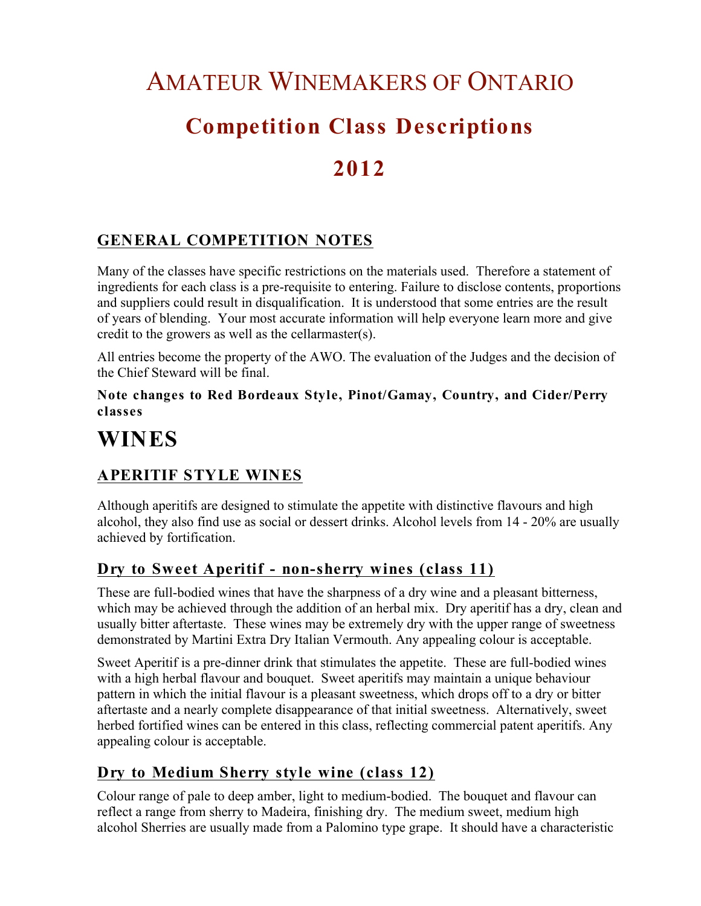# AMATEUR WINEMAKERS OF ONTARIO **Competition Class Descriptions 2012**

### **GENERAL COMPETITION NOTES**

Many of the classes have specific restrictions on the materials used. Therefore a statement of ingredients for each class is a pre-requisite to entering. Failure to disclose contents, proportions and suppliers could result in disqualification. It is understood that some entries are the result of years of blending. Your most accurate information will help everyone learn more and give credit to the growers as well as the cellarmaster(s).

All entries become the property of the AWO. The evaluation of the Judges and the decision of the Chief Steward will be final.

**Note changes to Red Bordeaux Style, Pinot/Gamay, Country, and Cider/Perry classes**

## **WINES**

### **APERITIF STYLE WINES**

Although aperitifs are designed to stimulate the appetite with distinctive flavours and high alcohol, they also find use as social or dessert drinks. Alcohol levels from 14 - 20% are usually achieved by fortification.

### **Dry to Sweet Aperitif - non-sherry wines (class 11)**

These are full-bodied wines that have the sharpness of a dry wine and a pleasant bitterness, which may be achieved through the addition of an herbal mix. Dry aperitif has a dry, clean and usually bitter aftertaste. These wines may be extremely dry with the upper range of sweetness demonstrated by Martini Extra Dry Italian Vermouth. Any appealing colour is acceptable.

Sweet Aperitif is a pre-dinner drink that stimulates the appetite. These are full-bodied wines with a high herbal flavour and bouquet. Sweet aperitifs may maintain a unique behaviour pattern in which the initial flavour is a pleasant sweetness, which drops off to a dry or bitter aftertaste and a nearly complete disappearance of that initial sweetness. Alternatively, sweet herbed fortified wines can be entered in this class, reflecting commercial patent aperitifs. Any appealing colour is acceptable.

### **Dry to Medium Sherry style wine (class 12)**

Colour range of pale to deep amber, light to medium-bodied. The bouquet and flavour can reflect a range from sherry to Madeira, finishing dry. The medium sweet, medium high alcohol Sherries are usually made from a Palomino type grape. It should have a characteristic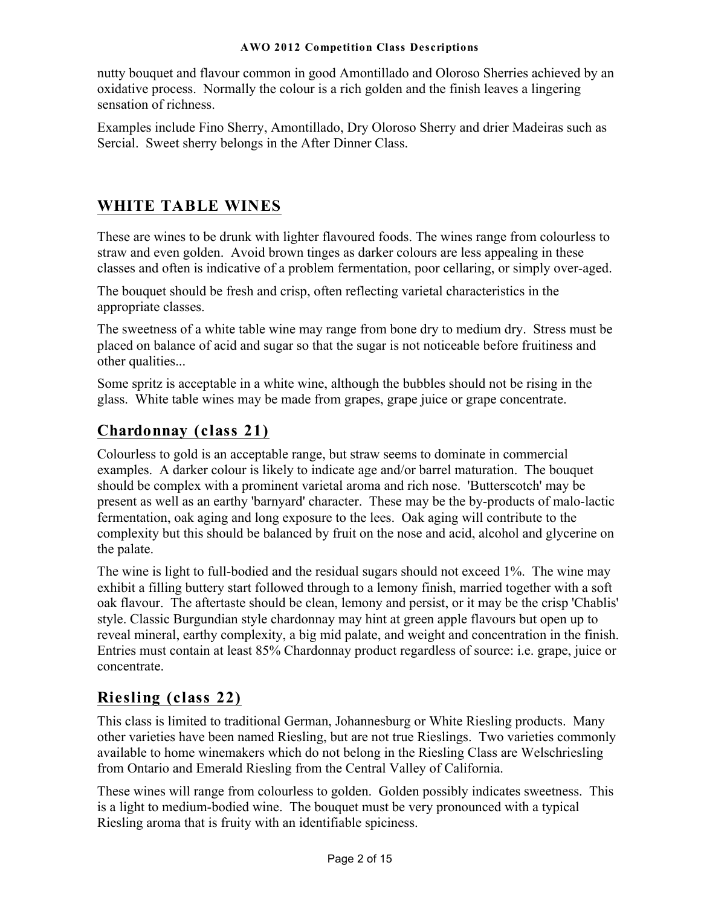nutty bouquet and flavour common in good Amontillado and Oloroso Sherries achieved by an oxidative process. Normally the colour is a rich golden and the finish leaves a lingering sensation of richness.

Examples include Fino Sherry, Amontillado, Dry Oloroso Sherry and drier Madeiras such as Sercial. Sweet sherry belongs in the After Dinner Class.

### **WHITE TABLE WINES**

These are wines to be drunk with lighter flavoured foods. The wines range from colourless to straw and even golden. Avoid brown tinges as darker colours are less appealing in these classes and often is indicative of a problem fermentation, poor cellaring, or simply over-aged.

The bouquet should be fresh and crisp, often reflecting varietal characteristics in the appropriate classes.

The sweetness of a white table wine may range from bone dry to medium dry. Stress must be placed on balance of acid and sugar so that the sugar is not noticeable before fruitiness and other qualities...

Some spritz is acceptable in a white wine, although the bubbles should not be rising in the glass. White table wines may be made from grapes, grape juice or grape concentrate.

### **Chardonnay (class 21)**

Colourless to gold is an acceptable range, but straw seems to dominate in commercial examples. A darker colour is likely to indicate age and/or barrel maturation. The bouquet should be complex with a prominent varietal aroma and rich nose. 'Butterscotch' may be present as well as an earthy 'barnyard' character. These may be the by-products of malo-lactic fermentation, oak aging and long exposure to the lees. Oak aging will contribute to the complexity but this should be balanced by fruit on the nose and acid, alcohol and glycerine on the palate.

The wine is light to full-bodied and the residual sugars should not exceed 1%. The wine may exhibit a filling buttery start followed through to a lemony finish, married together with a soft oak flavour. The aftertaste should be clean, lemony and persist, or it may be the crisp 'Chablis' style. Classic Burgundian style chardonnay may hint at green apple flavours but open up to reveal mineral, earthy complexity, a big mid palate, and weight and concentration in the finish. Entries must contain at least 85% Chardonnay product regardless of source: i.e. grape, juice or concentrate.

### **Riesling (class 22)**

This class is limited to traditional German, Johannesburg or White Riesling products. Many other varieties have been named Riesling, but are not true Rieslings. Two varieties commonly available to home winemakers which do not belong in the Riesling Class are Welschriesling from Ontario and Emerald Riesling from the Central Valley of California.

These wines will range from colourless to golden. Golden possibly indicates sweetness. This is a light to medium-bodied wine. The bouquet must be very pronounced with a typical Riesling aroma that is fruity with an identifiable spiciness.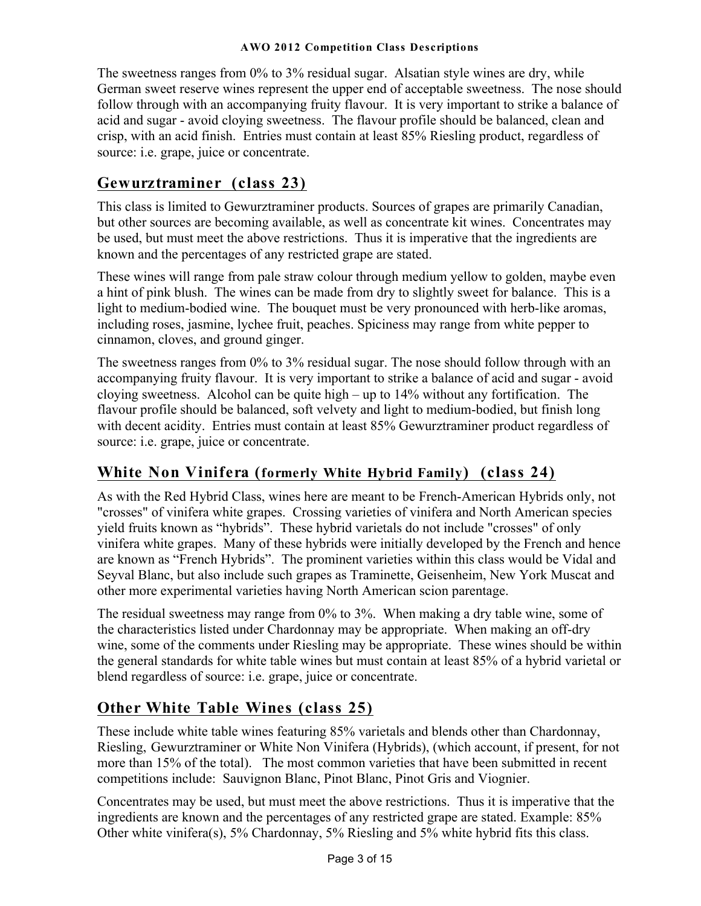The sweetness ranges from 0% to 3% residual sugar. Alsatian style wines are dry, while German sweet reserve wines represent the upper end of acceptable sweetness. The nose should follow through with an accompanying fruity flavour. It is very important to strike a balance of acid and sugar - avoid cloying sweetness. The flavour profile should be balanced, clean and crisp, with an acid finish. Entries must contain at least 85% Riesling product, regardless of source: i.e. grape, juice or concentrate.

### **Gewurztraminer (class 23)**

This class is limited to Gewurztraminer products. Sources of grapes are primarily Canadian, but other sources are becoming available, as well as concentrate kit wines. Concentrates may be used, but must meet the above restrictions. Thus it is imperative that the ingredients are known and the percentages of any restricted grape are stated.

These wines will range from pale straw colour through medium yellow to golden, maybe even a hint of pink blush. The wines can be made from dry to slightly sweet for balance. This is a light to medium-bodied wine. The bouquet must be very pronounced with herb-like aromas, including roses, jasmine, lychee fruit, peaches. Spiciness may range from white pepper to cinnamon, cloves, and ground ginger.

The sweetness ranges from 0% to 3% residual sugar. The nose should follow through with an accompanying fruity flavour. It is very important to strike a balance of acid and sugar - avoid cloying sweetness. Alcohol can be quite high – up to 14% without any fortification. The flavour profile should be balanced, soft velvety and light to medium-bodied, but finish long with decent acidity. Entries must contain at least 85% Gewurztraminer product regardless of source: i.e. grape, juice or concentrate.

### **White Non Vinifera (formerly White Hybrid Family) (class 24)**

As with the Red Hybrid Class, wines here are meant to be French-American Hybrids only, not "crosses" of vinifera white grapes. Crossing varieties of vinifera and North American species yield fruits known as "hybrids". These hybrid varietals do not include "crosses" of only vinifera white grapes. Many of these hybrids were initially developed by the French and hence are known as "French Hybrids". The prominent varieties within this class would be Vidal and Seyval Blanc, but also include such grapes as Traminette, Geisenheim, New York Muscat and other more experimental varieties having North American scion parentage.

The residual sweetness may range from 0% to 3%. When making a dry table wine, some of the characteristics listed under Chardonnay may be appropriate. When making an off-dry wine, some of the comments under Riesling may be appropriate. These wines should be within the general standards for white table wines but must contain at least 85% of a hybrid varietal or blend regardless of source: i.e. grape, juice or concentrate.

### **Other White Table Wines (class 25)**

These include white table wines featuring 85% varietals and blends other than Chardonnay, Riesling, Gewurztraminer or White Non Vinifera (Hybrids), (which account, if present, for not more than 15% of the total). The most common varieties that have been submitted in recent competitions include: Sauvignon Blanc, Pinot Blanc, Pinot Gris and Viognier.

Concentrates may be used, but must meet the above restrictions. Thus it is imperative that the ingredients are known and the percentages of any restricted grape are stated. Example: 85% Other white vinifera(s), 5% Chardonnay, 5% Riesling and 5% white hybrid fits this class.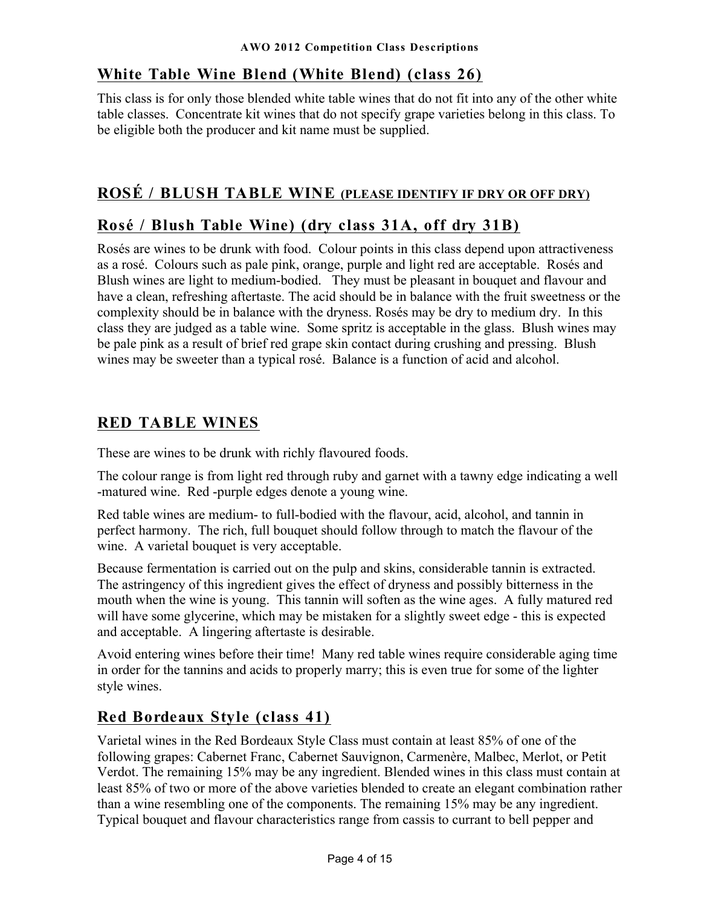### **White Table Wine Blend (White Blend) (class 26)**

This class is for only those blended white table wines that do not fit into any of the other white table classes. Concentrate kit wines that do not specify grape varieties belong in this class. To be eligible both the producer and kit name must be supplied.

### **ROSÉ / BLUSH TABLE WINE (PLEASE IDENTIFY IF DRY OR OFF DRY)**

### **Rosé / Blush Table Wine) (dry class 31A, off dry 31B)**

Rosés are wines to be drunk with food. Colour points in this class depend upon attractiveness as a rosé. Colours such as pale pink, orange, purple and light red are acceptable. Rosés and Blush wines are light to medium-bodied. They must be pleasant in bouquet and flavour and have a clean, refreshing aftertaste. The acid should be in balance with the fruit sweetness or the complexity should be in balance with the dryness. Rosés may be dry to medium dry. In this class they are judged as a table wine. Some spritz is acceptable in the glass. Blush wines may be pale pink as a result of brief red grape skin contact during crushing and pressing. Blush wines may be sweeter than a typical rosé. Balance is a function of acid and alcohol.

### **RED TABLE WINES**

These are wines to be drunk with richly flavoured foods.

The colour range is from light red through ruby and garnet with a tawny edge indicating a well -matured wine. Red -purple edges denote a young wine.

Red table wines are medium- to full-bodied with the flavour, acid, alcohol, and tannin in perfect harmony. The rich, full bouquet should follow through to match the flavour of the wine. A varietal bouquet is very acceptable.

Because fermentation is carried out on the pulp and skins, considerable tannin is extracted. The astringency of this ingredient gives the effect of dryness and possibly bitterness in the mouth when the wine is young. This tannin will soften as the wine ages. A fully matured red will have some glycerine, which may be mistaken for a slightly sweet edge - this is expected and acceptable. A lingering aftertaste is desirable.

Avoid entering wines before their time! Many red table wines require considerable aging time in order for the tannins and acids to properly marry; this is even true for some of the lighter style wines.

### **Red Bordeaux Style (class 41)**

Varietal wines in the Red Bordeaux Style Class must contain at least 85% of one of the following grapes: Cabernet Franc, Cabernet Sauvignon, Carmenère, Malbec, Merlot, or Petit Verdot. The remaining 15% may be any ingredient. Blended wines in this class must contain at least 85% of two or more of the above varieties blended to create an elegant combination rather than a wine resembling one of the components. The remaining 15% may be any ingredient. Typical bouquet and flavour characteristics range from cassis to currant to bell pepper and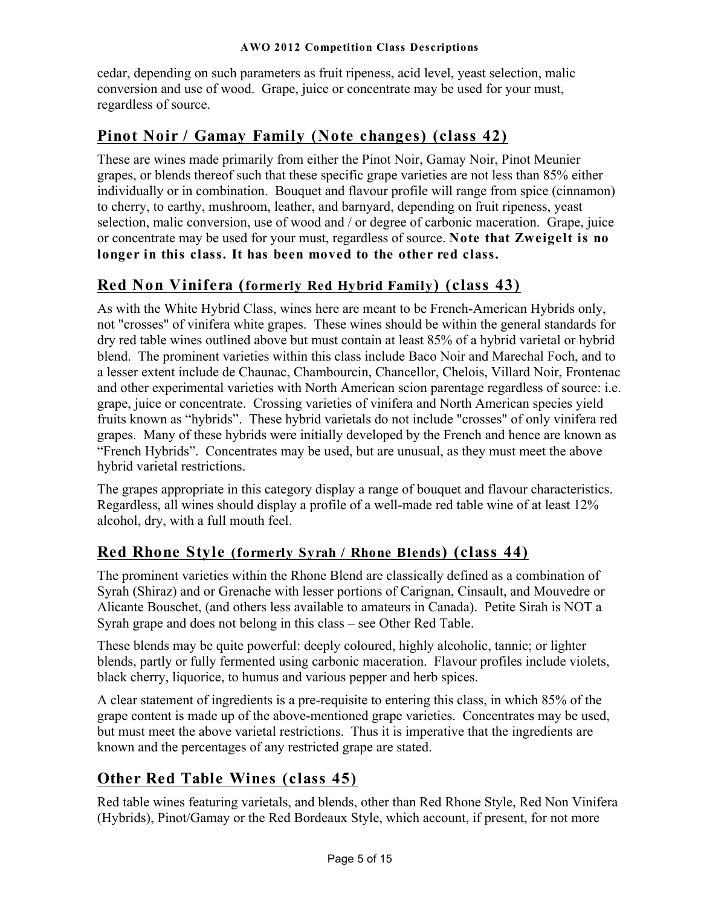cedar, depending on such parameters as fruit ripeness, acid level, yeast selection, malic conversion and use of wood. Grape, juice or concentrate may be used for your must, regardless of source.

### **Pinot Noir / Gamay Family (Note changes) (class 42)**

These are wines made primarily from either the Pinot Noir, Gamay Noir, Pinot Meunier grapes, or blends thereof such that these specific grape varieties are not less than 85% either individually or in combination. Bouquet and flavour profile will range from spice (cinnamon) to cherry, to earthy, mushroom, leather, and barnyard, depending on fruit ripeness, yeast selection, malic conversion, use of wood and / or degree of carbonic maceration. Grape, juice or concentrate may be used for your must, regardless of source. **Note that Zweigelt is no longer in this class. It has been moved to the other red class.**

### **Red Non Vinifera (formerly Red Hybrid Family) (class 43)**

As with the White Hybrid Class, wines here are meant to be French-American Hybrids only, not "crosses" of vinifera white grapes. These wines should be within the general standards for dry red table wines outlined above but must contain at least 85% of a hybrid varietal or hybrid blend. The prominent varieties within this class include Baco Noir and Marechal Foch, and to a lesser extent include de Chaunac, Chambourcin, Chancellor, Chelois, Villard Noir, Frontenac and other experimental varieties with North American scion parentage regardless of source: i.e. grape, juice or concentrate. Crossing varieties of vinifera and North American species yield fruits known as "hybrids". These hybrid varietals do not include "crosses" of only vinifera red grapes. Many of these hybrids were initially developed by the French and hence are known as "French Hybrids". Concentrates may be used, but are unusual, as they must meet the above hybrid varietal restrictions.

The grapes appropriate in this category display a range of bouquet and flavour characteristics. Regardless, all wines should display a profile of a well-made red table wine of at least 12% alcohol, dry, with a full mouth feel.

### **Red Rhone Style (formerly Syrah / Rhone Blends) (class 44)**

The prominent varieties within the Rhone Blend are classically defined as a combination of Syrah (Shiraz) and or Grenache with lesser portions of Carignan, Cinsault, and Mouvedre or Alicante Bouschet, (and others less available to amateurs in Canada). Petite Sirah is NOT a Syrah grape and does not belong in this class – see Other Red Table.

These blends may be quite powerful: deeply coloured, highly alcoholic, tannic; or lighter blends, partly or fully fermented using carbonic maceration. Flavour profiles include violets, black cherry, liquorice, to humus and various pepper and herb spices.

A clear statement of ingredients is a pre-requisite to entering this class, in which 85% of the grape content is made up of the above-mentioned grape varieties. Concentrates may be used, but must meet the above varietal restrictions. Thus it is imperative that the ingredients are known and the percentages of any restricted grape are stated.

### **Other Red Table Wines (class 45)**

Red table wines featuring varietals, and blends, other than Red Rhone Style, Red Non Vinifera (Hybrids), Pinot/Gamay or the Red Bordeaux Style, which account, if present, for not more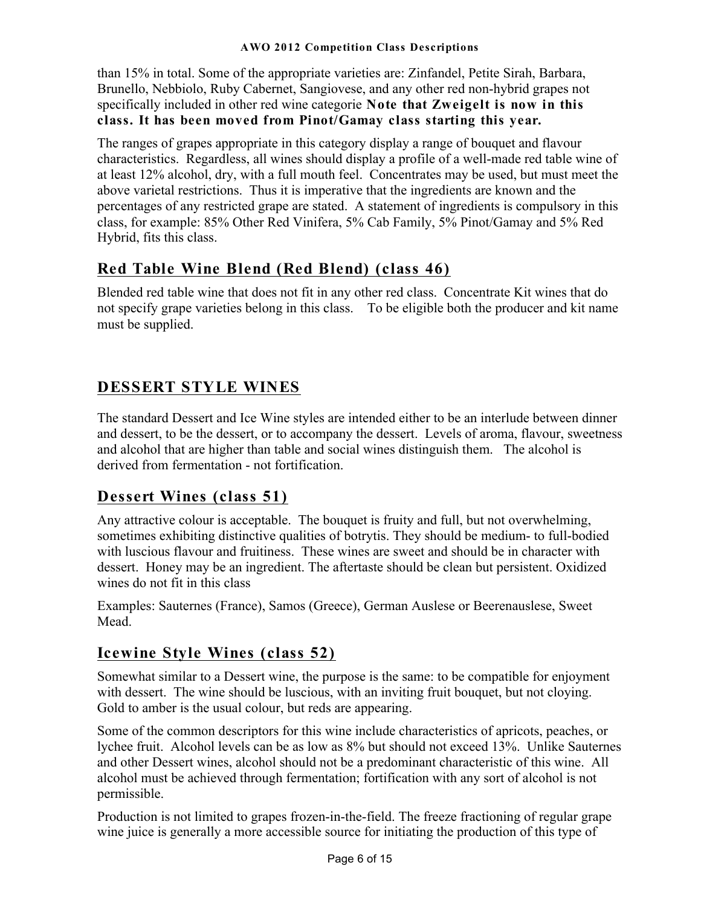than 15% in total. Some of the appropriate varieties are: Zinfandel, Petite Sirah, Barbara, Brunello, Nebbiolo, Ruby Cabernet, Sangiovese, and any other red non-hybrid grapes not specifically included in other red wine categorie **Note that Zweigelt is now in this class. It has been moved from Pinot/Gamay class starting this year.**

The ranges of grapes appropriate in this category display a range of bouquet and flavour characteristics. Regardless, all wines should display a profile of a well-made red table wine of at least 12% alcohol, dry, with a full mouth feel. Concentrates may be used, but must meet the above varietal restrictions. Thus it is imperative that the ingredients are known and the percentages of any restricted grape are stated. A statement of ingredients is compulsory in this class, for example: 85% Other Red Vinifera, 5% Cab Family, 5% Pinot/Gamay and 5% Red Hybrid, fits this class.

### **Red Table Wine Blend (Red Blend) (class 46)**

Blended red table wine that does not fit in any other red class. Concentrate Kit wines that do not specify grape varieties belong in this class. To be eligible both the producer and kit name must be supplied.

### **DESSERT STYLE WINES**

The standard Dessert and Ice Wine styles are intended either to be an interlude between dinner and dessert, to be the dessert, or to accompany the dessert. Levels of aroma, flavour, sweetness and alcohol that are higher than table and social wines distinguish them. The alcohol is derived from fermentation - not fortification.

### **Dessert Wines (class 51)**

Any attractive colour is acceptable. The bouquet is fruity and full, but not overwhelming, sometimes exhibiting distinctive qualities of botrytis. They should be medium- to full-bodied with luscious flavour and fruitiness. These wines are sweet and should be in character with dessert. Honey may be an ingredient. The aftertaste should be clean but persistent. Oxidized wines do not fit in this class

Examples: Sauternes (France), Samos (Greece), German Auslese or Beerenauslese, Sweet Mead.

### **Icewine Style Wines (class 52)**

Somewhat similar to a Dessert wine, the purpose is the same: to be compatible for enjoyment with dessert. The wine should be luscious, with an inviting fruit bouquet, but not cloying. Gold to amber is the usual colour, but reds are appearing.

Some of the common descriptors for this wine include characteristics of apricots, peaches, or lychee fruit. Alcohol levels can be as low as 8% but should not exceed 13%. Unlike Sauternes and other Dessert wines, alcohol should not be a predominant characteristic of this wine. All alcohol must be achieved through fermentation; fortification with any sort of alcohol is not permissible.

Production is not limited to grapes frozen-in-the-field. The freeze fractioning of regular grape wine juice is generally a more accessible source for initiating the production of this type of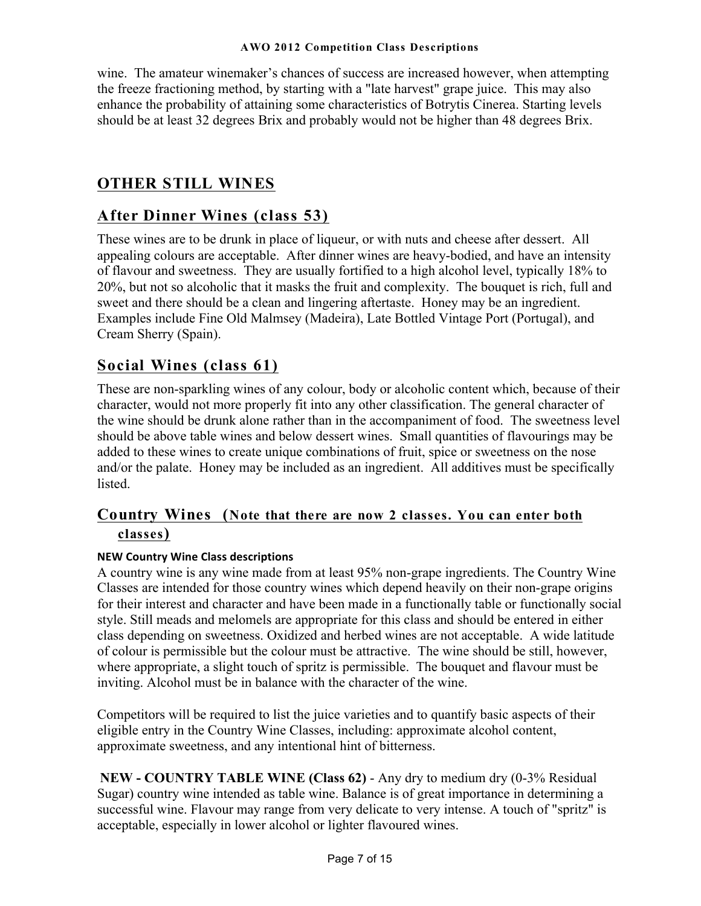wine. The amateur winemaker's chances of success are increased however, when attempting the freeze fractioning method, by starting with a "late harvest" grape juice. This may also enhance the probability of attaining some characteristics of Botrytis Cinerea. Starting levels should be at least 32 degrees Brix and probably would not be higher than 48 degrees Brix.

### **OTHER STILL WINES**

### **After Dinner Wines (class 53)**

These wines are to be drunk in place of liqueur, or with nuts and cheese after dessert. All appealing colours are acceptable. After dinner wines are heavy-bodied, and have an intensity of flavour and sweetness. They are usually fortified to a high alcohol level, typically 18% to 20%, but not so alcoholic that it masks the fruit and complexity. The bouquet is rich, full and sweet and there should be a clean and lingering aftertaste. Honey may be an ingredient. Examples include Fine Old Malmsey (Madeira), Late Bottled Vintage Port (Portugal), and Cream Sherry (Spain).

### **Social Wines (class 61)**

These are non-sparkling wines of any colour, body or alcoholic content which, because of their character, would not more properly fit into any other classification. The general character of the wine should be drunk alone rather than in the accompaniment of food. The sweetness level should be above table wines and below dessert wines. Small quantities of flavourings may be added to these wines to create unique combinations of fruit, spice or sweetness on the nose and/or the palate. Honey may be included as an ingredient. All additives must be specifically listed.

### **Country Wines (Note that there are now 2 classes. You can enter both classes)**

#### **NEW Country Wine Class descriptions**

A country wine is any wine made from at least 95% non-grape ingredients. The Country Wine Classes are intended for those country wines which depend heavily on their non-grape origins for their interest and character and have been made in a functionally table or functionally social style. Still meads and melomels are appropriate for this class and should be entered in either class depending on sweetness. Oxidized and herbed wines are not acceptable. A wide latitude of colour is permissible but the colour must be attractive. The wine should be still, however, where appropriate, a slight touch of spritz is permissible. The bouquet and flavour must be inviting. Alcohol must be in balance with the character of the wine.

Competitors will be required to list the juice varieties and to quantify basic aspects of their eligible entry in the Country Wine Classes, including: approximate alcohol content, approximate sweetness, and any intentional hint of bitterness.

**NEW - COUNTRY TABLE WINE (Class 62)** - Any dry to medium dry (0-3% Residual Sugar) country wine intended as table wine. Balance is of great importance in determining a successful wine. Flavour may range from very delicate to very intense. A touch of "spritz" is acceptable, especially in lower alcohol or lighter flavoured wines.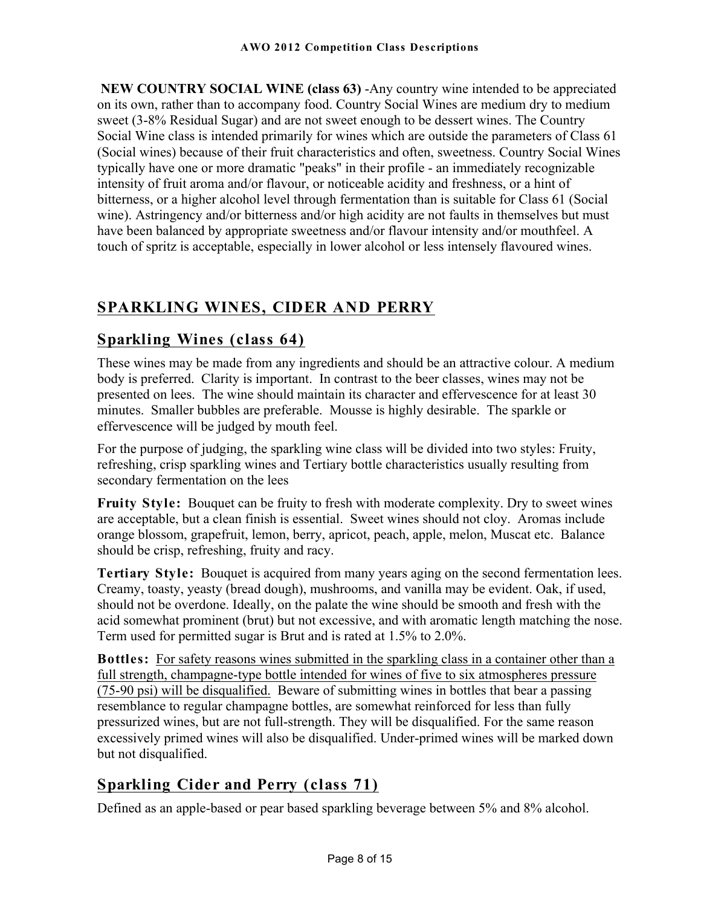**NEW COUNTRY SOCIAL WINE (class 63)** -Any country wine intended to be appreciated on its own, rather than to accompany food. Country Social Wines are medium dry to medium sweet (3-8% Residual Sugar) and are not sweet enough to be dessert wines. The Country Social Wine class is intended primarily for wines which are outside the parameters of Class 61 (Social wines) because of their fruit characteristics and often, sweetness. Country Social Wines typically have one or more dramatic "peaks" in their profile - an immediately recognizable intensity of fruit aroma and/or flavour, or noticeable acidity and freshness, or a hint of bitterness, or a higher alcohol level through fermentation than is suitable for Class 61 (Social wine). Astringency and/or bitterness and/or high acidity are not faults in themselves but must have been balanced by appropriate sweetness and/or flavour intensity and/or mouthfeel. A touch of spritz is acceptable, especially in lower alcohol or less intensely flavoured wines.

### **SPARKLING WINES, CIDER AND PERRY**

### **Sparkling Wines (class 64)**

These wines may be made from any ingredients and should be an attractive colour. A medium body is preferred. Clarity is important. In contrast to the beer classes, wines may not be presented on lees. The wine should maintain its character and effervescence for at least 30 minutes. Smaller bubbles are preferable. Mousse is highly desirable. The sparkle or effervescence will be judged by mouth feel.

For the purpose of judging, the sparkling wine class will be divided into two styles: Fruity, refreshing, crisp sparkling wines and Tertiary bottle characteristics usually resulting from secondary fermentation on the lees

**Fruity Style:** Bouquet can be fruity to fresh with moderate complexity. Dry to sweet wines are acceptable, but a clean finish is essential. Sweet wines should not cloy. Aromas include orange blossom, grapefruit, lemon, berry, apricot, peach, apple, melon, Muscat etc. Balance should be crisp, refreshing, fruity and racy.

**Tertiary Style:** Bouquet is acquired from many years aging on the second fermentation lees. Creamy, toasty, yeasty (bread dough), mushrooms, and vanilla may be evident. Oak, if used, should not be overdone. Ideally, on the palate the wine should be smooth and fresh with the acid somewhat prominent (brut) but not excessive, and with aromatic length matching the nose. Term used for permitted sugar is Brut and is rated at 1.5% to 2.0%.

**Bottles:** For safety reasons wines submitted in the sparkling class in a container other than a full strength, champagne-type bottle intended for wines of five to six atmospheres pressure (75-90 psi) will be disqualified. Beware of submitting wines in bottles that bear a passing resemblance to regular champagne bottles, are somewhat reinforced for less than fully pressurized wines, but are not full-strength. They will be disqualified. For the same reason excessively primed wines will also be disqualified. Under-primed wines will be marked down but not disqualified.

### **Sparkling Cider and Perry (class 71)**

Defined as an apple-based or pear based sparkling beverage between 5% and 8% alcohol.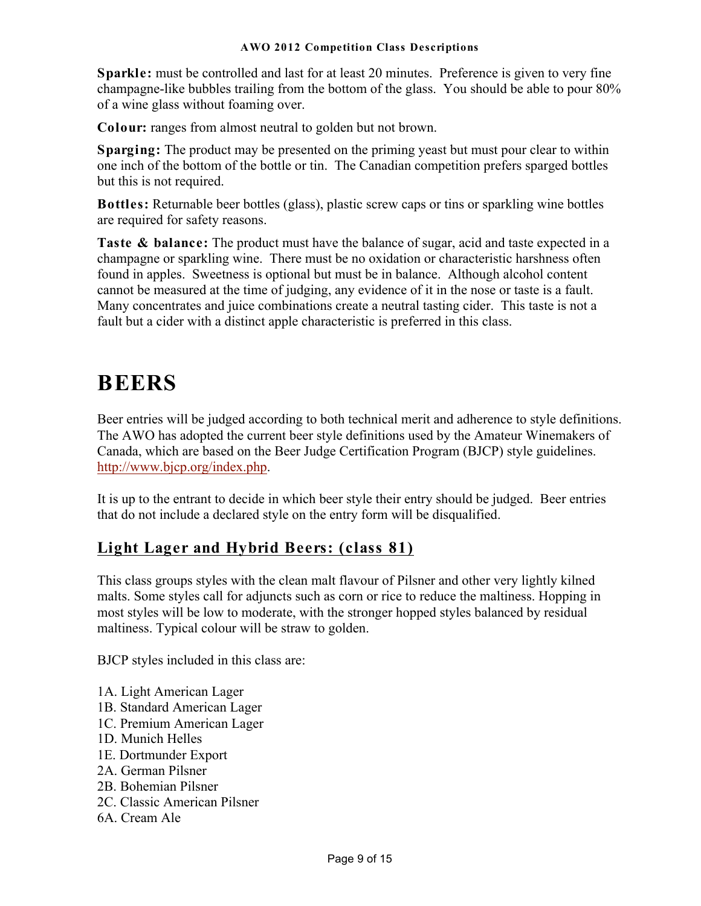**Sparkle:** must be controlled and last for at least 20 minutes. Preference is given to very fine champagne-like bubbles trailing from the bottom of the glass. You should be able to pour 80% of a wine glass without foaming over.

**Colour:** ranges from almost neutral to golden but not brown.

**Sparging:** The product may be presented on the priming yeast but must pour clear to within one inch of the bottom of the bottle or tin. The Canadian competition prefers sparged bottles but this is not required.

**Bottles:** Returnable beer bottles (glass), plastic screw caps or tins or sparkling wine bottles are required for safety reasons.

**Taste & balance:** The product must have the balance of sugar, acid and taste expected in a champagne or sparkling wine. There must be no oxidation or characteristic harshness often found in apples. Sweetness is optional but must be in balance. Although alcohol content cannot be measured at the time of judging, any evidence of it in the nose or taste is a fault. Many concentrates and juice combinations create a neutral tasting cider. This taste is not a fault but a cider with a distinct apple characteristic is preferred in this class.

# **BEERS**

Beer entries will be judged according to both technical merit and adherence to style definitions. The AWO has adopted the current beer style definitions used by the Amateur Winemakers of Canada, which are based on the Beer Judge Certification Program (BJCP) style guidelines. http://www.bjcp.org/index.php.

It is up to the entrant to decide in which beer style their entry should be judged. Beer entries that do not include a declared style on the entry form will be disqualified.

### **Light Lager and Hybrid Beers: (class 81)**

This class groups styles with the clean malt flavour of Pilsner and other very lightly kilned malts. Some styles call for adjuncts such as corn or rice to reduce the maltiness. Hopping in most styles will be low to moderate, with the stronger hopped styles balanced by residual maltiness. Typical colour will be straw to golden.

BJCP styles included in this class are:

- 1A. Light American Lager
- 1B. Standard American Lager
- 1C. Premium American Lager
- 1D. Munich Helles
- 1E. Dortmunder Export
- 2A. German Pilsner
- 2B. Bohemian Pilsner
- 2C. Classic American Pilsner
- 6A. Cream Ale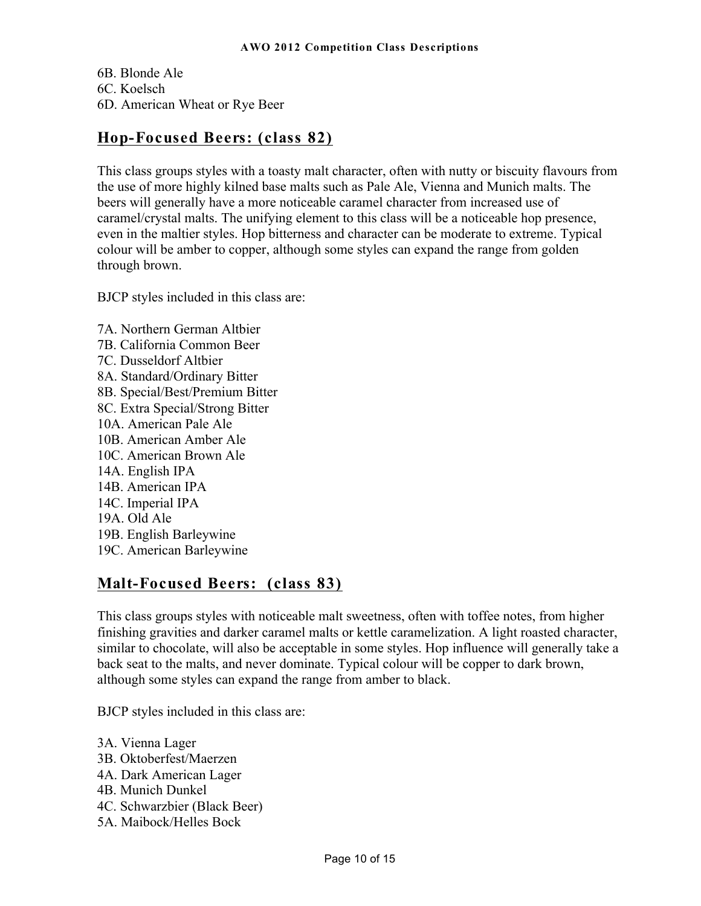6B. Blonde Ale 6C. Koelsch 6D. American Wheat or Rye Beer

### **Hop-Focused Beers: (class 82)**

This class groups styles with a toasty malt character, often with nutty or biscuity flavours from the use of more highly kilned base malts such as Pale Ale, Vienna and Munich malts. The beers will generally have a more noticeable caramel character from increased use of caramel/crystal malts. The unifying element to this class will be a noticeable hop presence, even in the maltier styles. Hop bitterness and character can be moderate to extreme. Typical colour will be amber to copper, although some styles can expand the range from golden through brown.

BJCP styles included in this class are:

7A. Northern German Altbier 7B. California Common Beer 7C. Dusseldorf Altbier 8A. Standard/Ordinary Bitter 8B. Special/Best/Premium Bitter 8C. Extra Special/Strong Bitter 10A. American Pale Ale 10B. American Amber Ale 10C. American Brown Ale 14A. English IPA 14B. American IPA 14C. Imperial IPA 19A. Old Ale 19B. English Barleywine 19C. American Barleywine

### **Malt-Focused Beers: (class 83)**

This class groups styles with noticeable malt sweetness, often with toffee notes, from higher finishing gravities and darker caramel malts or kettle caramelization. A light roasted character, similar to chocolate, will also be acceptable in some styles. Hop influence will generally take a back seat to the malts, and never dominate. Typical colour will be copper to dark brown, although some styles can expand the range from amber to black.

BJCP styles included in this class are:

3A. Vienna Lager 3B. Oktoberfest/Maerzen 4A. Dark American Lager 4B. Munich Dunkel 4C. Schwarzbier (Black Beer) 5A. Maibock/Helles Bock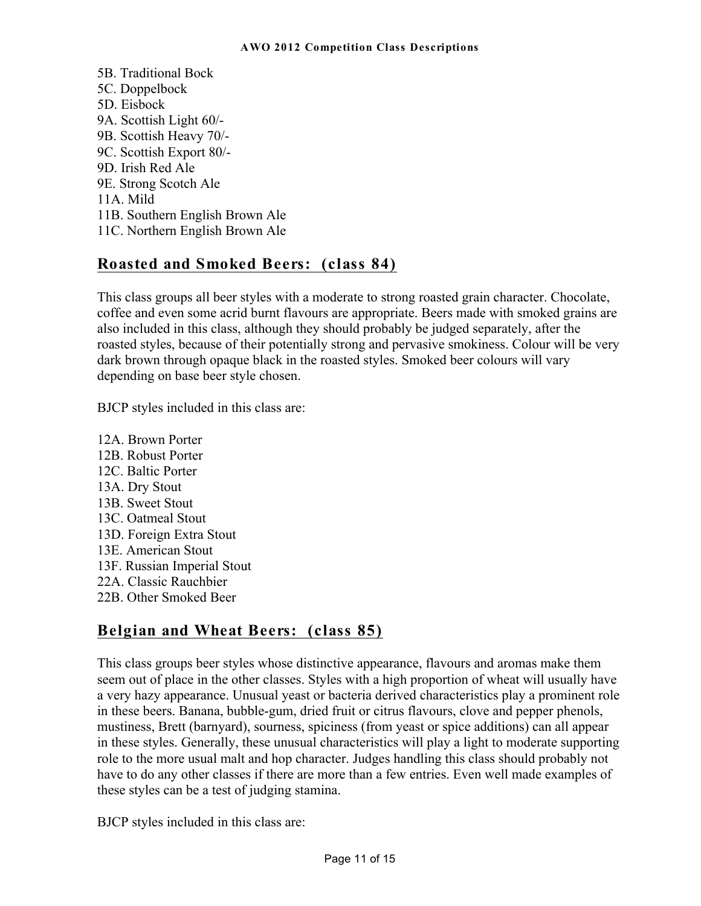5B. Traditional Bock 5C. Doppelbock 5D. Eisbock 9A. Scottish Light 60/- 9B. Scottish Heavy 70/- 9C. Scottish Export 80/- 9D. Irish Red Ale 9E. Strong Scotch Ale 11A. Mild 11B. Southern English Brown Ale 11C. Northern English Brown Ale

### **Roasted and Smoked Beers: (class 84)**

This class groups all beer styles with a moderate to strong roasted grain character. Chocolate, coffee and even some acrid burnt flavours are appropriate. Beers made with smoked grains are also included in this class, although they should probably be judged separately, after the roasted styles, because of their potentially strong and pervasive smokiness. Colour will be very dark brown through opaque black in the roasted styles. Smoked beer colours will vary depending on base beer style chosen.

BJCP styles included in this class are:

12A. Brown Porter 12B. Robust Porter 12C. Baltic Porter 13A. Dry Stout 13B. Sweet Stout 13C. Oatmeal Stout 13D. Foreign Extra Stout 13E. American Stout 13F. Russian Imperial Stout 22A. Classic Rauchbier 22B. Other Smoked Beer

### **Belgian and Wheat Beers: (class 85)**

This class groups beer styles whose distinctive appearance, flavours and aromas make them seem out of place in the other classes. Styles with a high proportion of wheat will usually have a very hazy appearance. Unusual yeast or bacteria derived characteristics play a prominent role in these beers. Banana, bubble-gum, dried fruit or citrus flavours, clove and pepper phenols, mustiness, Brett (barnyard), sourness, spiciness (from yeast or spice additions) can all appear in these styles. Generally, these unusual characteristics will play a light to moderate supporting role to the more usual malt and hop character. Judges handling this class should probably not have to do any other classes if there are more than a few entries. Even well made examples of these styles can be a test of judging stamina.

BJCP styles included in this class are: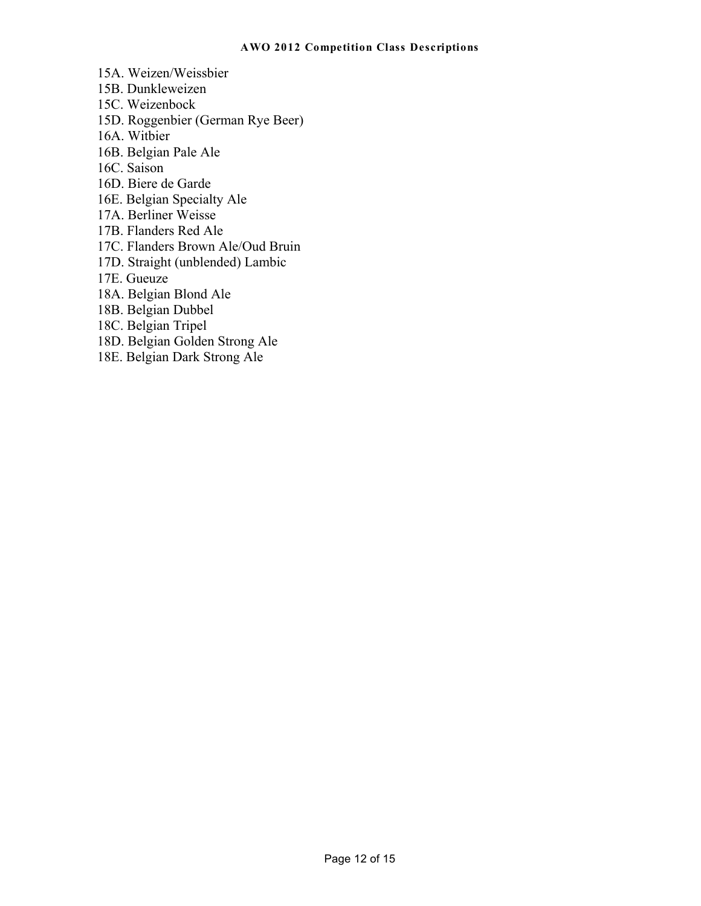- 15A. Weizen/Weissbier
- 15B. Dunkleweizen
- 15C. Weizenbock
- 15D. Roggenbier (German Rye Beer)
- 16A. Witbier
- 16B. Belgian Pale Ale
- 16C. Saison
- 16D. Biere de Garde
- 16E. Belgian Specialty Ale
- 17A. Berliner Weisse
- 17B. Flanders Red Ale
- 17C. Flanders Brown Ale/Oud Bruin
- 17D. Straight (unblended) Lambic
- 17E. Gueuze
- 18A. Belgian Blond Ale
- 18B. Belgian Dubbel
- 18C. Belgian Tripel
- 18D. Belgian Golden Strong Ale
- 18E. Belgian Dark Strong Ale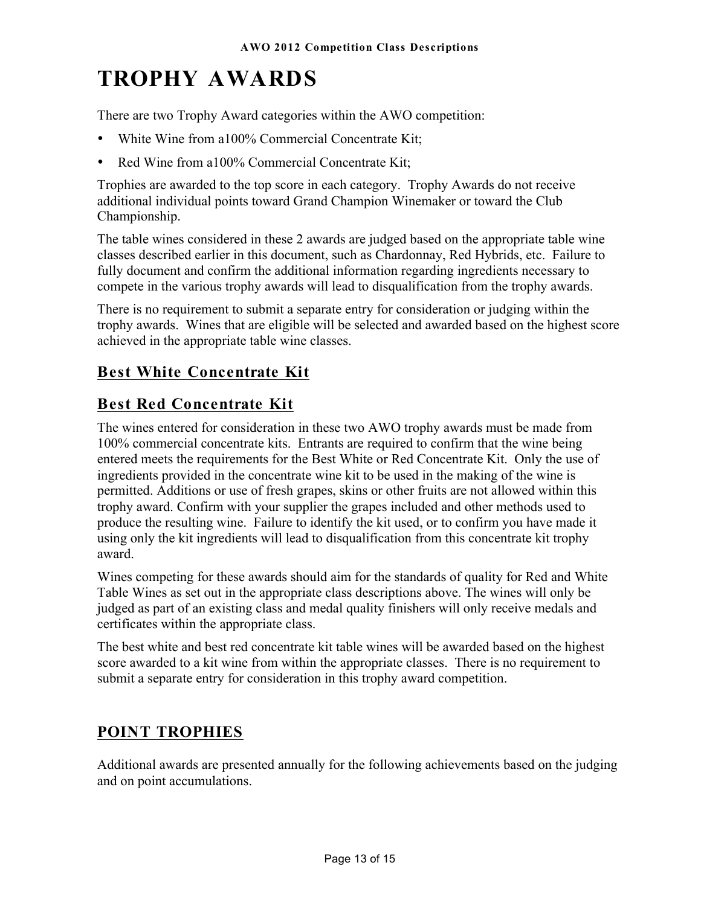# **TROPHY AWARDS**

There are two Trophy Award categories within the AWO competition:

- White Wine from a100% Commercial Concentrate Kit;
- Red Wine from a100% Commercial Concentrate Kit;

Trophies are awarded to the top score in each category. Trophy Awards do not receive additional individual points toward Grand Champion Winemaker or toward the Club Championship.

The table wines considered in these 2 awards are judged based on the appropriate table wine classes described earlier in this document, such as Chardonnay, Red Hybrids, etc. Failure to fully document and confirm the additional information regarding ingredients necessary to compete in the various trophy awards will lead to disqualification from the trophy awards.

There is no requirement to submit a separate entry for consideration or judging within the trophy awards. Wines that are eligible will be selected and awarded based on the highest score achieved in the appropriate table wine classes.

### **Best White Concentrate Kit**

### **Best Red Concentrate Kit**

The wines entered for consideration in these two AWO trophy awards must be made from 100% commercial concentrate kits. Entrants are required to confirm that the wine being entered meets the requirements for the Best White or Red Concentrate Kit. Only the use of ingredients provided in the concentrate wine kit to be used in the making of the wine is permitted. Additions or use of fresh grapes, skins or other fruits are not allowed within this trophy award. Confirm with your supplier the grapes included and other methods used to produce the resulting wine. Failure to identify the kit used, or to confirm you have made it using only the kit ingredients will lead to disqualification from this concentrate kit trophy award.

Wines competing for these awards should aim for the standards of quality for Red and White Table Wines as set out in the appropriate class descriptions above. The wines will only be judged as part of an existing class and medal quality finishers will only receive medals and certificates within the appropriate class.

The best white and best red concentrate kit table wines will be awarded based on the highest score awarded to a kit wine from within the appropriate classes. There is no requirement to submit a separate entry for consideration in this trophy award competition.

### **POINT TROPHIES**

Additional awards are presented annually for the following achievements based on the judging and on point accumulations.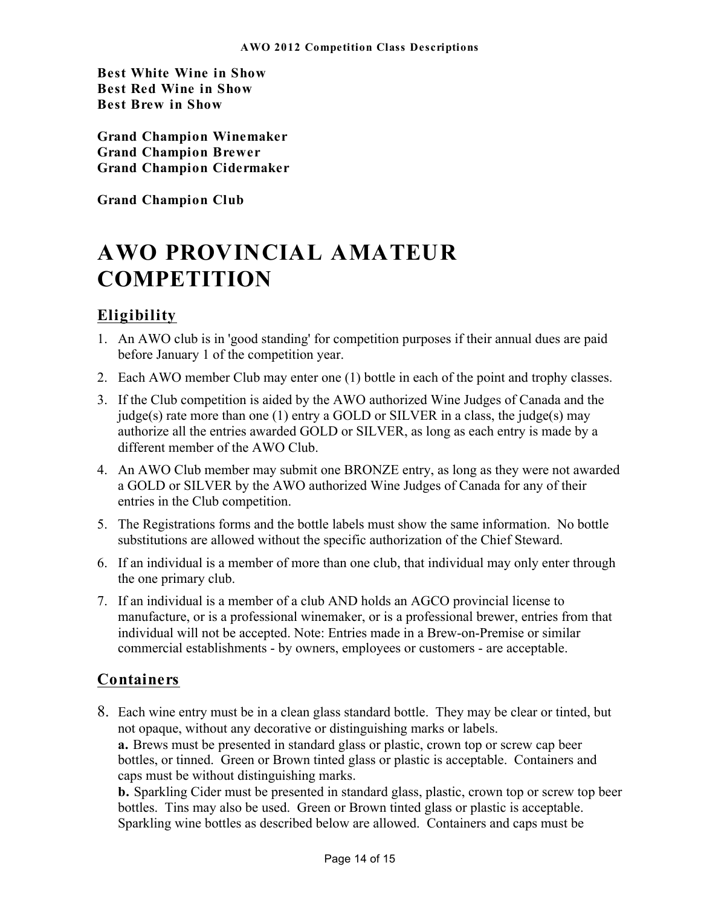**Best White Wine in Show Best Red Wine in Show Best Brew in Show** 

**Grand Champion Winemaker Grand Champion Brewer Grand Champion Cidermaker** 

**Grand Champion Club** 

# **AWO PROVINCIAL AMATEUR COMPETITION**

### **Eligibility**

- 1. An AWO club is in 'good standing' for competition purposes if their annual dues are paid before January 1 of the competition year.
- 2. Each AWO member Club may enter one (1) bottle in each of the point and trophy classes.
- 3. If the Club competition is aided by the AWO authorized Wine Judges of Canada and the judge(s) rate more than one (1) entry a GOLD or SILVER in a class, the judge(s) may authorize all the entries awarded GOLD or SILVER, as long as each entry is made by a different member of the AWO Club.
- 4. An AWO Club member may submit one BRONZE entry, as long as they were not awarded a GOLD or SILVER by the AWO authorized Wine Judges of Canada for any of their entries in the Club competition.
- 5. The Registrations forms and the bottle labels must show the same information. No bottle substitutions are allowed without the specific authorization of the Chief Steward.
- 6. If an individual is a member of more than one club, that individual may only enter through the one primary club.
- 7. If an individual is a member of a club AND holds an AGCO provincial license to manufacture, or is a professional winemaker, or is a professional brewer, entries from that individual will not be accepted. Note: Entries made in a Brew-on-Premise or similar commercial establishments - by owners, employees or customers - are acceptable.

### **Containers**

8. Each wine entry must be in a clean glass standard bottle. They may be clear or tinted, but not opaque, without any decorative or distinguishing marks or labels. **a.** Brews must be presented in standard glass or plastic, crown top or screw cap beer bottles, or tinned. Green or Brown tinted glass or plastic is acceptable. Containers and caps must be without distinguishing marks.

**b.** Sparkling Cider must be presented in standard glass, plastic, crown top or screw top beer bottles. Tins may also be used. Green or Brown tinted glass or plastic is acceptable. Sparkling wine bottles as described below are allowed. Containers and caps must be